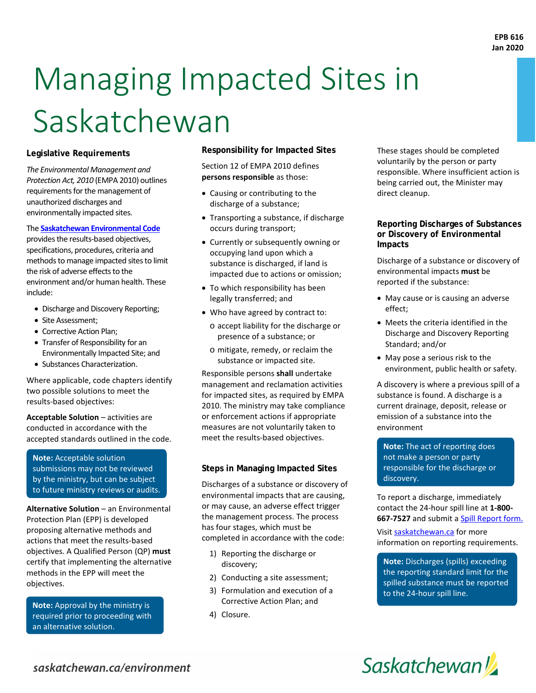# Managing Impacted Sites in Saskatchewan

#### **Legislative Requirements**

*The Environmental Management and Protection Act, 2010* (EMPA 2010) outlines requirements for the management of unauthorized discharges and environmentally impacted sites.

#### The **[Saskatchewan Environmental Code](https://www.saskatchewan.ca/business/environmental-protection-and-sustainability/environmental-code)**

provides the results-based objectives, specifications, procedures, criteria and methods to manage impacted sites to limit the risk of adverse effects to the environment and/or human health. These include:

- Discharge and Discovery Reporting;
- Site Assessment;
- Corrective Action Plan;
- Transfer of Responsibility for an Environmentally Impacted Site; and
- Substances Characterization.

Where applicable, code chapters identify two possible solutions to meet the results-based objectives:

**Acceptable Solution** – activities are conducted in accordance with the accepted standards outlined in the code.

**Note:** Acceptable solution submissions may not be reviewed by the ministry, but can be subject to future ministry reviews or audits.

**Alternative Solution** – an Environmental Protection Plan (EPP) is developed proposing alternative methods and actions that meet the results-based objectives. A Qualified Person (QP) **must** certify that implementing the alternative methods in the EPP will meet the objectives.

**Note:** Approval by the ministry is required prior to proceeding with an alternative solution.

**Responsibility for Impacted Sites**

Section 12 of EMPA 2010 defines **persons responsible** as those:

- Causing or contributing to the discharge of a substance;
- Transporting a substance, if discharge occurs during transport;
- Currently or subsequently owning or occupying land upon which a substance is discharged, if land is impacted due to actions or omission;
- To which responsibility has been legally transferred; and
- Who have agreed by contract to:
	- o accept liability for the discharge or presence of a substance; or
	- o mitigate, remedy, or reclaim the substance or impacted site.

Responsible persons **shall** undertake management and reclamation activities for impacted sites, as required by EMPA 2010. The ministry may take compliance or enforcement actions if appropriate measures are not voluntarily taken to meet the results-based objectives.

#### **Steps in Managing Impacted Sites**

Discharges of a substance or discovery of environmental impacts that are causing, or may cause, an adverse effect trigger the management process. The process has four stages, which must be completed in accordance with the code:

- 1) Reporting the discharge or discovery;
- 2) Conducting a site assessment;
- 3) Formulation and execution of a Corrective Action Plan; and
- 4) Closure.

These stages should be completed voluntarily by the person or party responsible. Where insufficient action is being carried out, the Minister may direct cleanup.

#### **Reporting Discharges of Substances or Discovery of Environmental Impacts**

Discharge of a substance or discovery of environmental impacts **must** be reported if the substance:

- May cause or is causing an adverse effect;
- Meets the criteria identified in the Discharge and Discovery Reporting Standard; and/or
- May pose a serious risk to the environment, public health or safety.

A discovery is where a previous spill of a substance is found. A discharge is a current drainage, deposit, release or emission of a substance into the environment

**Note:** The act of reporting does not make a person or party responsible for the discharge or discovery.

To report a discharge, immediately contact the 24-hour spill line at **1-800- 667-7527** and submit a **Spill Report form.** 

Visit [saskatchewan.ca](https://www.saskatchewan.ca/business/environmental-protection-and-sustainability/hazardous-materials-and-safe-waste-management/report-hazardous-spills) for more information on reporting requirements.

**Note:** Discharges (spills) exceeding the reporting standard limit for the spilled substance must be reported to the 24-hour spill line.